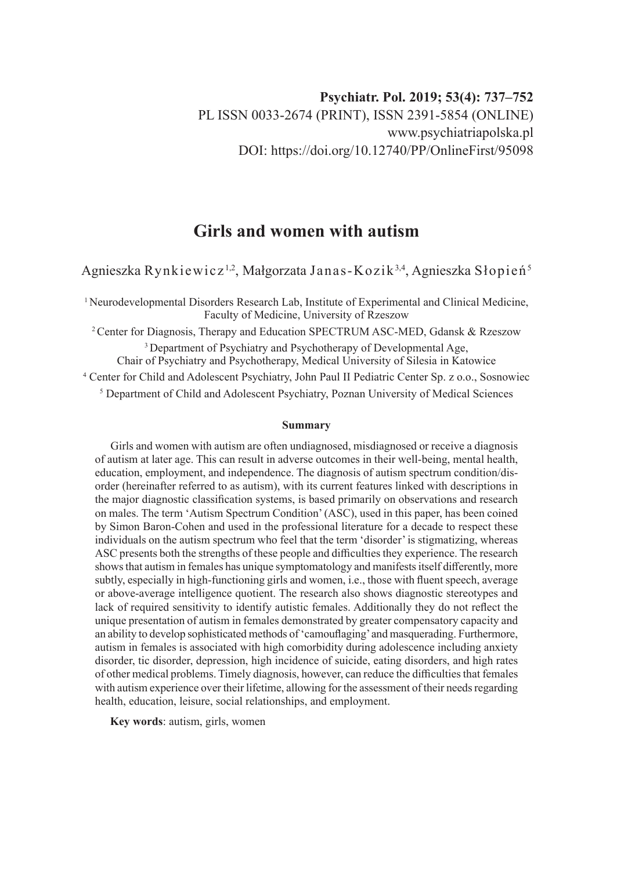# **Girls and women with autism**

Agnieszka Rynkiewicz<sup>1,2</sup>, Małgorzata Janas-Kozik<sup>3,4</sup>, Agnieszka Słopień<sup>5</sup>

<sup>1</sup> Neurodevelopmental Disorders Research Lab, Institute of Experimental and Clinical Medicine, Faculty of Medicine, University of Rzeszow

<sup>2</sup> Center for Diagnosis, Therapy and Education SPECTRUM ASC-MED, Gdansk & Rzeszow <sup>3</sup> Department of Psychiatry and Psychotherapy of Developmental Age,

Chair of Psychiatry and Psychotherapy, Medical University of Silesia in Katowice

4 Center for Child and Adolescent Psychiatry, John Paul II Pediatric Center Sp. z o.o., Sosnowiec 5 Department of Child and Adolescent Psychiatry, Poznan University of Medical Sciences

#### **Summary**

Girls and women with autism are often undiagnosed, misdiagnosed or receive a diagnosis of autism at later age. This can result in adverse outcomes in their well-being, mental health, education, employment, and independence. The diagnosis of autism spectrum condition/disorder (hereinafter referred to as autism), with its current features linked with descriptions in the major diagnostic classification systems, is based primarily on observations and research on males. The term 'Autism Spectrum Condition' (ASC), used in this paper, has been coined by Simon Baron-Cohen and used in the professional literature for a decade to respect these individuals on the autism spectrum who feel that the term 'disorder' is stigmatizing, whereas ASC presents both the strengths of these people and difficulties they experience. The research shows that autism in females has unique symptomatology and manifests itself differently, more subtly, especially in high-functioning girls and women, i.e., those with fluent speech, average or above-average intelligence quotient. The research also shows diagnostic stereotypes and lack of required sensitivity to identify autistic females. Additionally they do not reflect the unique presentation of autism in females demonstrated by greater compensatory capacity and an ability to develop sophisticated methods of 'camouflaging' and masquerading. Furthermore, autism in females is associated with high comorbidity during adolescence including anxiety disorder, tic disorder, depression, high incidence of suicide, eating disorders, and high rates of other medical problems. Timely diagnosis, however, can reduce the difficulties that females with autism experience over their lifetime, allowing for the assessment of their needs regarding health, education, leisure, social relationships, and employment.

**Key words**: autism, girls, women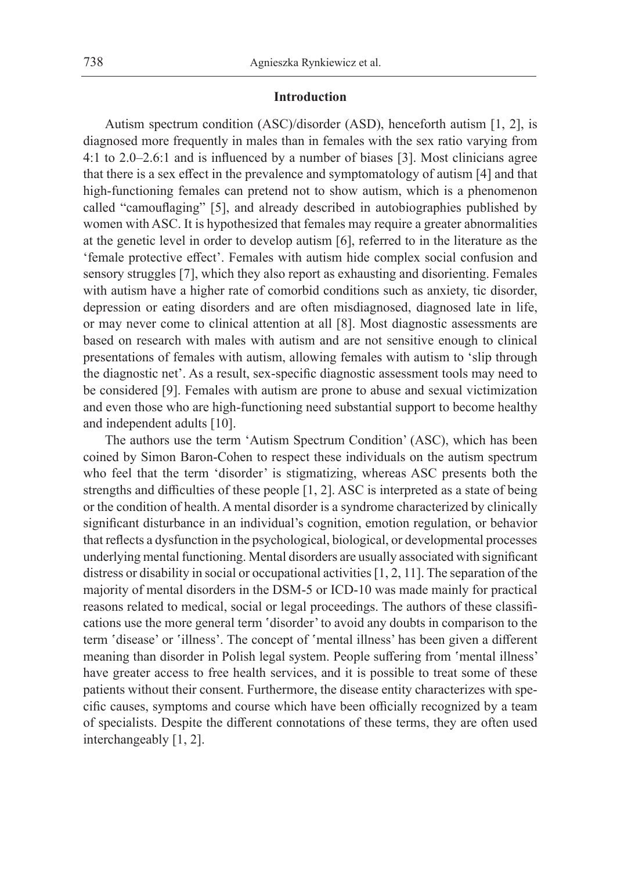# **Introduction**

Autism spectrum condition (ASC)/disorder (ASD), henceforth autism [1, 2], is diagnosed more frequently in males than in females with the sex ratio varying from 4:1 to 2.0–2.6:1 and is influenced by a number of biases [3]. Most clinicians agree that there is a sex effect in the prevalence and symptomatology of autism [4] and that high-functioning females can pretend not to show autism, which is a phenomenon called "camouflaging" [5], and already described in autobiographies published by women with ASC. It is hypothesized that females may require a greater abnormalities at the genetic level in order to develop autism [6], referred to in the literature as the 'female protective effect'. Females with autism hide complex social confusion and sensory struggles [7], which they also report as exhausting and disorienting. Females with autism have a higher rate of comorbid conditions such as anxiety, tic disorder, depression or eating disorders and are often misdiagnosed, diagnosed late in life, or may never come to clinical attention at all [8]. Most diagnostic assessments are based on research with males with autism and are not sensitive enough to clinical presentations of females with autism, allowing females with autism to 'slip through the diagnostic net'. As a result, sex-specific diagnostic assessment tools may need to be considered [9]. Females with autism are prone to abuse and sexual victimization and even those who are high-functioning need substantial support to become healthy and independent adults [10].

The authors use the term 'Autism Spectrum Condition' (ASC), which has been coined by Simon Baron-Cohen to respect these individuals on the autism spectrum who feel that the term 'disorder' is stigmatizing, whereas ASC presents both the strengths and difficulties of these people [1, 2]. ASC is interpreted as a state of being or the condition of health. A mental disorder is a syndrome characterized by clinically significant disturbance in an individual's cognition, emotion regulation, or behavior that reflects a dysfunction in the psychological, biological, or developmental processes underlying mental functioning. Mental disorders are usually associated with significant distress or disability in social or occupational activities [1, 2, 11]. The separation of the majority of mental disorders in the DSM-5 or ICD-10 was made mainly for practical reasons related to medical, social or legal proceedings. The authors of these classifications use the more general term 'disorder' to avoid any doubts in comparison to the term 'disease' or 'illness'. The concept of 'mental illness' has been given a different meaning than disorder in Polish legal system. People suffering from 'mental illness' have greater access to free health services, and it is possible to treat some of these patients without their consent. Furthermore, the disease entity characterizes with specific causes, symptoms and course which have been officially recognized by a team of specialists. Despite the different connotations of these terms, they are often used interchangeably [1, 2].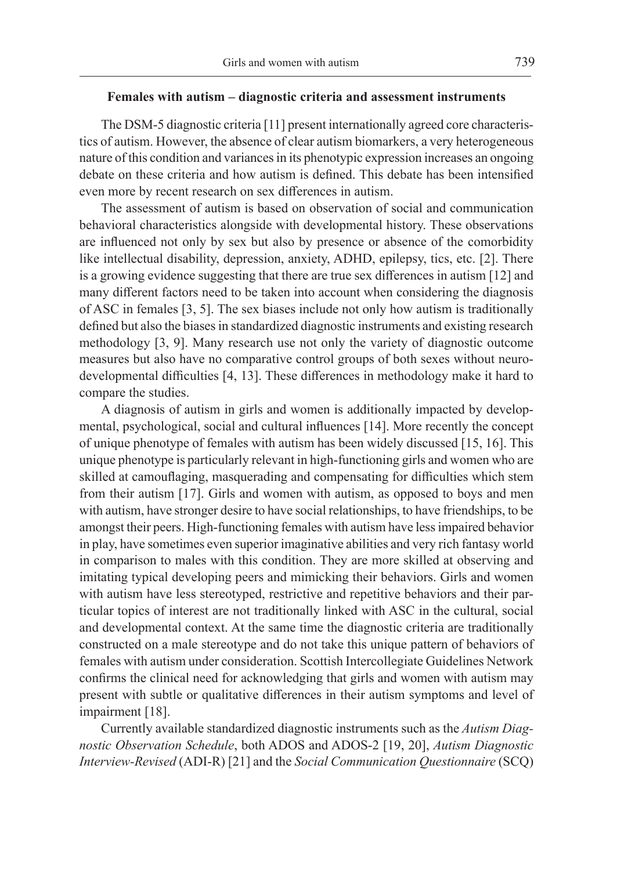# **Females with autism – diagnostic criteria and assessment instruments**

The DSM-5 diagnostic criteria [11] present internationally agreed core characteristics of autism. However, the absence of clear autism biomarkers, a very heterogeneous nature of this condition and variances in its phenotypic expression increases an ongoing debate on these criteria and how autism is defined. This debate has been intensified even more by recent research on sex differences in autism.

The assessment of autism is based on observation of social and communication behavioral characteristics alongside with developmental history. These observations are influenced not only by sex but also by presence or absence of the comorbidity like intellectual disability, depression, anxiety, ADHD, epilepsy, tics, etc. [2]. There is a growing evidence suggesting that there are true sex differences in autism [12] and many different factors need to be taken into account when considering the diagnosis of ASC in females [3, 5]. The sex biases include not only how autism is traditionally defined but also the biases in standardized diagnostic instruments and existing research methodology [3, 9]. Many research use not only the variety of diagnostic outcome measures but also have no comparative control groups of both sexes without neurodevelopmental difficulties [4, 13]. These differences in methodology make it hard to compare the studies.

A diagnosis of autism in girls and women is additionally impacted by developmental, psychological, social and cultural influences [14]. More recently the concept of unique phenotype of females with autism has been widely discussed [15, 16]. This unique phenotype is particularly relevant in high-functioning girls and women who are skilled at camouflaging, masquerading and compensating for difficulties which stem from their autism [17]. Girls and women with autism, as opposed to boys and men with autism, have stronger desire to have social relationships, to have friendships, to be amongst their peers. High-functioning females with autism have less impaired behavior in play, have sometimes even superior imaginative abilities and very rich fantasy world in comparison to males with this condition. They are more skilled at observing and imitating typical developing peers and mimicking their behaviors. Girls and women with autism have less stereotyped, restrictive and repetitive behaviors and their particular topics of interest are not traditionally linked with ASC in the cultural, social and developmental context. At the same time the diagnostic criteria are traditionally constructed on a male stereotype and do not take this unique pattern of behaviors of females with autism under consideration. Scottish Intercollegiate Guidelines Network confirms the clinical need for acknowledging that girls and women with autism may present with subtle or qualitative differences in their autism symptoms and level of impairment [18].

Currently available standardized diagnostic instruments such as the *Autism Diagnostic Observation Schedule*, both ADOS and ADOS-2 [19, 20], *Autism Diagnostic Interview-Revised* (ADI-R) [21] and the *Social Communication Questionnaire* (SCQ)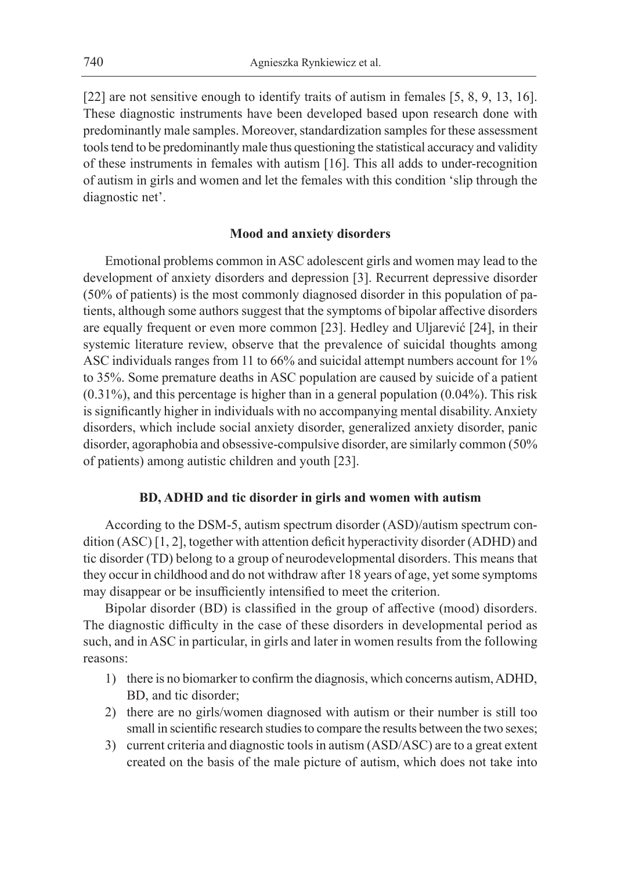[22] are not sensitive enough to identify traits of autism in females [5, 8, 9, 13, 16]. These diagnostic instruments have been developed based upon research done with predominantly male samples. Moreover, standardization samples for these assessment tools tend to be predominantly male thus questioning the statistical accuracy and validity of these instruments in females with autism [16]. This all adds to under-recognition of autism in girls and women and let the females with this condition 'slip through the diagnostic net'.

# **Mood and anxiety disorders**

Emotional problems common in ASC adolescent girls and women may lead to the development of anxiety disorders and depression [3]. Recurrent depressive disorder (50% of patients) is the most commonly diagnosed disorder in this population of patients, although some authors suggest that the symptoms of bipolar affective disorders are equally frequent or even more common [23]. Hedley and Uljarević [24], in their systemic literature review, observe that the prevalence of suicidal thoughts among ASC individuals ranges from 11 to 66% and suicidal attempt numbers account for 1% to 35%. Some premature deaths in ASC population are caused by suicide of a patient (0.31%), and this percentage is higher than in a general population (0.04%). This risk is significantly higher in individuals with no accompanying mental disability. Anxiety disorders, which include social anxiety disorder, generalized anxiety disorder, panic disorder, agoraphobia and obsessive-compulsive disorder, are similarly common (50% of patients) among autistic children and youth [23].

# **BD, ADHD and tic disorder in girls and women with autism**

According to the DSM-5, autism spectrum disorder (ASD)/autism spectrum condition (ASC) [1, 2], together with attention deficit hyperactivity disorder (ADHD) and tic disorder (TD) belong to a group of neurodevelopmental disorders. This means that they occur in childhood and do not withdraw after 18 years of age, yet some symptoms may disappear or be insufficiently intensified to meet the criterion.

Bipolar disorder (BD) is classified in the group of affective (mood) disorders. The diagnostic difficulty in the case of these disorders in developmental period as such, and in ASC in particular, in girls and later in women results from the following reasons:

- 1) there is no biomarker to confirm the diagnosis, which concerns autism, ADHD, BD, and tic disorder;
- 2) there are no girls/women diagnosed with autism or their number is still too small in scientific research studies to compare the results between the two sexes;
- 3) current criteria and diagnostic tools in autism (ASD/ASC) are to a great extent created on the basis of the male picture of autism, which does not take into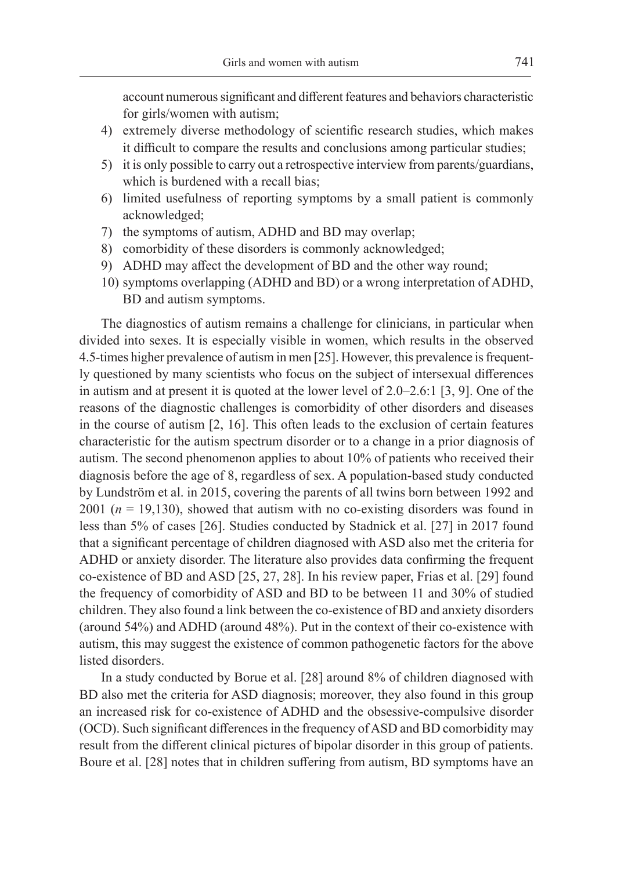account numerous significant and different features and behaviors characteristic for girls/women with autism;

- 4) extremely diverse methodology of scientific research studies, which makes it difficult to compare the results and conclusions among particular studies;
- 5) it is only possible to carry out a retrospective interview from parents/guardians, which is burdened with a recall bias;
- 6) limited usefulness of reporting symptoms by a small patient is commonly acknowledged;
- 7) the symptoms of autism, ADHD and BD may overlap;
- 8) comorbidity of these disorders is commonly acknowledged;
- 9) ADHD may affect the development of BD and the other way round;
- 10) symptoms overlapping (ADHD and BD) or a wrong interpretation of ADHD, BD and autism symptoms.

The diagnostics of autism remains a challenge for clinicians, in particular when divided into sexes. It is especially visible in women, which results in the observed 4.5-times higher prevalence of autism in men [25]. However, this prevalence is frequently questioned by many scientists who focus on the subject of intersexual differences in autism and at present it is quoted at the lower level of 2.0–2.6:1 [3, 9]. One of the reasons of the diagnostic challenges is comorbidity of other disorders and diseases in the course of autism  $[2, 16]$ . This often leads to the exclusion of certain features characteristic for the autism spectrum disorder or to a change in a prior diagnosis of autism. The second phenomenon applies to about 10% of patients who received their diagnosis before the age of 8, regardless of sex. A population-based study conducted by Lundström et al. in 2015, covering the parents of all twins born between 1992 and 2001 ( $n = 19,130$ ), showed that autism with no co-existing disorders was found in less than 5% of cases [26]. Studies conducted by Stadnick et al. [27] in 2017 found that a significant percentage of children diagnosed with ASD also met the criteria for ADHD or anxiety disorder. The literature also provides data confirming the frequent co-existence of BD and ASD [25, 27, 28]. In his review paper, Frias et al. [29] found the frequency of comorbidity of ASD and BD to be between 11 and 30% of studied children. They also found a link between the co-existence of BD and anxiety disorders (around 54%) and ADHD (around 48%). Put in the context of their co-existence with autism, this may suggest the existence of common pathogenetic factors for the above listed disorders.

In a study conducted by Borue et al. [28] around 8% of children diagnosed with BD also met the criteria for ASD diagnosis; moreover, they also found in this group an increased risk for co-existence of ADHD and the obsessive-compulsive disorder (OCD). Such significant differences in the frequency of ASD and BD comorbidity may result from the different clinical pictures of bipolar disorder in this group of patients. Boure et al. [28] notes that in children suffering from autism, BD symptoms have an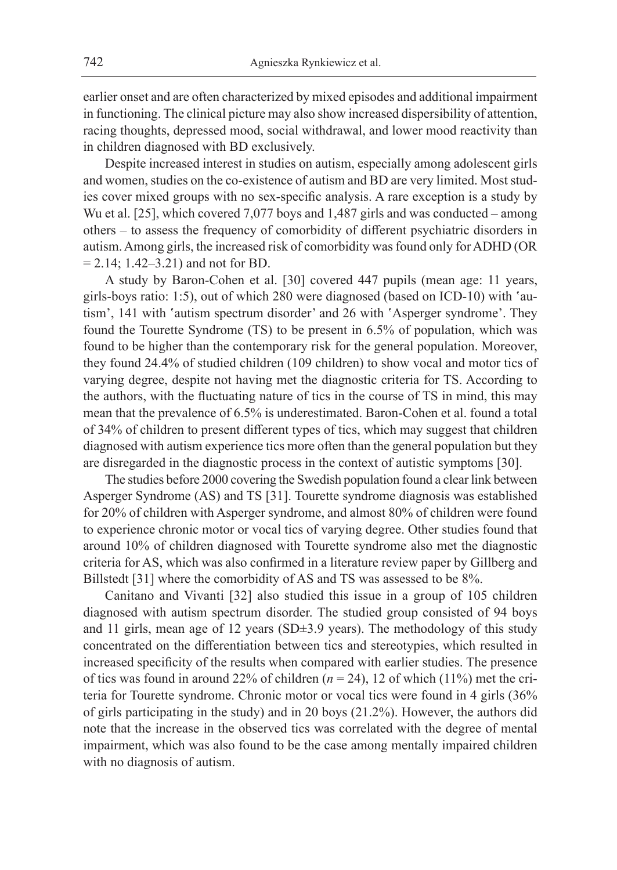earlier onset and are often characterized by mixed episodes and additional impairment in functioning. The clinical picture may also show increased dispersibility of attention, racing thoughts, depressed mood, social withdrawal, and lower mood reactivity than in children diagnosed with BD exclusively.

Despite increased interest in studies on autism, especially among adolescent girls and women, studies on the co-existence of autism and BD are very limited. Most studies cover mixed groups with no sex-specific analysis. A rare exception is a study by Wu et al. [25], which covered 7,077 boys and 1,487 girls and was conducted – among others – to assess the frequency of comorbidity of different psychiatric disorders in autism. Among girls, the increased risk of comorbidity was found only for ADHD (OR  $= 2.14$ ; 1.42–3.21) and not for BD.

A study by Baron-Cohen et al. [30] covered 447 pupils (mean age: 11 years, girls-boys ratio: 1:5), out of which 280 were diagnosed (based on ICD-10) with 'autism', 141 with 'autism spectrum disorder' and 26 with 'Asperger syndrome'. They found the Tourette Syndrome (TS) to be present in 6.5% of population, which was found to be higher than the contemporary risk for the general population. Moreover, they found 24.4% of studied children (109 children) to show vocal and motor tics of varying degree, despite not having met the diagnostic criteria for TS. According to the authors, with the fluctuating nature of tics in the course of TS in mind, this may mean that the prevalence of 6.5% is underestimated. Baron-Cohen et al. found a total of 34% of children to present different types of tics, which may suggest that children diagnosed with autism experience tics more often than the general population but they are disregarded in the diagnostic process in the context of autistic symptoms [30].

The studies before 2000 covering the Swedish population found a clear link between Asperger Syndrome (AS) and TS [31]. Tourette syndrome diagnosis was established for 20% of children with Asperger syndrome, and almost 80% of children were found to experience chronic motor or vocal tics of varying degree. Other studies found that around 10% of children diagnosed with Tourette syndrome also met the diagnostic criteria for AS, which was also confirmed in a literature review paper by Gillberg and Billstedt [31] where the comorbidity of AS and TS was assessed to be 8%.

Canitano and Vivanti [32] also studied this issue in a group of 105 children diagnosed with autism spectrum disorder. The studied group consisted of 94 boys and 11 girls, mean age of 12 years (SD±3.9 years). The methodology of this study concentrated on the differentiation between tics and stereotypies, which resulted in increased specificity of the results when compared with earlier studies. The presence of tics was found in around 22% of children (*n* = 24), 12 of which (11%) met the criteria for Tourette syndrome. Chronic motor or vocal tics were found in 4 girls (36% of girls participating in the study) and in 20 boys (21.2%). However, the authors did note that the increase in the observed tics was correlated with the degree of mental impairment, which was also found to be the case among mentally impaired children with no diagnosis of autism.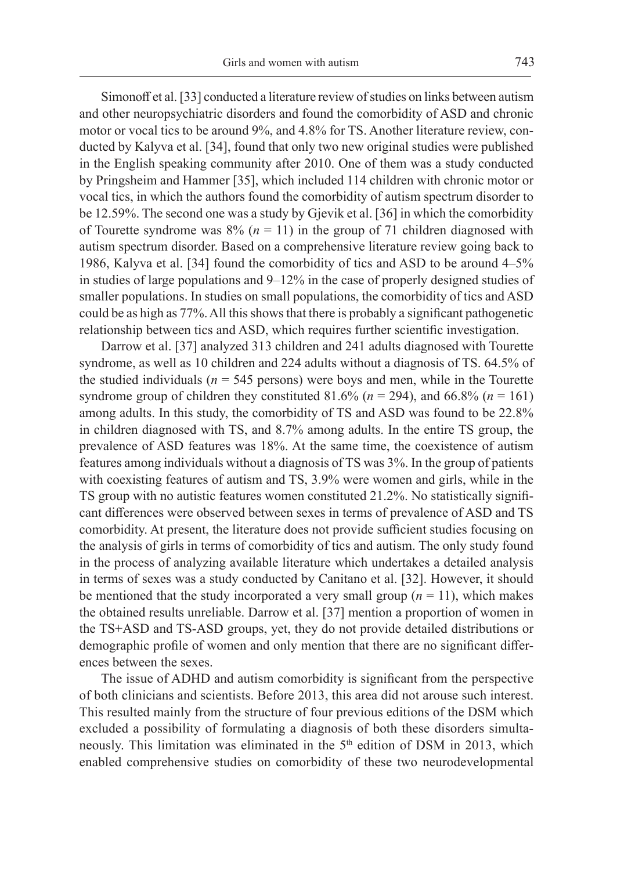Simonoff et al. [33] conducted a literature review of studies on links between autism and other neuropsychiatric disorders and found the comorbidity of ASD and chronic motor or vocal tics to be around 9%, and 4.8% for TS. Another literature review, conducted by Kalyva et al. [34], found that only two new original studies were published in the English speaking community after 2010. One of them was a study conducted by Pringsheim and Hammer [35], which included 114 children with chronic motor or vocal tics, in which the authors found the comorbidity of autism spectrum disorder to be 12.59%. The second one was a study by Gjevik et al. [36] in which the comorbidity of Tourette syndrome was  $8\%$  ( $n = 11$ ) in the group of 71 children diagnosed with autism spectrum disorder. Based on a comprehensive literature review going back to 1986, Kalyva et al. [34] found the comorbidity of tics and ASD to be around 4–5% in studies of large populations and 9–12% in the case of properly designed studies of smaller populations. In studies on small populations, the comorbidity of tics and ASD could be as high as 77%. All this shows that there is probably a significant pathogenetic relationship between tics and ASD, which requires further scientific investigation.

Darrow et al. [37] analyzed 313 children and 241 adults diagnosed with Tourette syndrome, as well as 10 children and 224 adults without a diagnosis of TS. 64.5% of the studied individuals ( $n = 545$  persons) were boys and men, while in the Tourette syndrome group of children they constituted  $81.6\%$  ( $n = 294$ ), and  $66.8\%$  ( $n = 161$ ) among adults. In this study, the comorbidity of TS and ASD was found to be 22.8% in children diagnosed with TS, and 8.7% among adults. In the entire TS group, the prevalence of ASD features was 18%. At the same time, the coexistence of autism features among individuals without a diagnosis of TS was 3%. In the group of patients with coexisting features of autism and TS, 3.9% were women and girls, while in the TS group with no autistic features women constituted 21.2%. No statistically significant differences were observed between sexes in terms of prevalence of ASD and TS comorbidity. At present, the literature does not provide sufficient studies focusing on the analysis of girls in terms of comorbidity of tics and autism. The only study found in the process of analyzing available literature which undertakes a detailed analysis in terms of sexes was a study conducted by Canitano et al. [32]. However, it should be mentioned that the study incorporated a very small group  $(n = 11)$ , which makes the obtained results unreliable. Darrow et al. [37] mention a proportion of women in the TS+ASD and TS-ASD groups, yet, they do not provide detailed distributions or demographic profile of women and only mention that there are no significant differences between the sexes.

The issue of ADHD and autism comorbidity is significant from the perspective of both clinicians and scientists. Before 2013, this area did not arouse such interest. This resulted mainly from the structure of four previous editions of the DSM which excluded a possibility of formulating a diagnosis of both these disorders simultaneously. This limitation was eliminated in the 5<sup>th</sup> edition of DSM in 2013, which enabled comprehensive studies on comorbidity of these two neurodevelopmental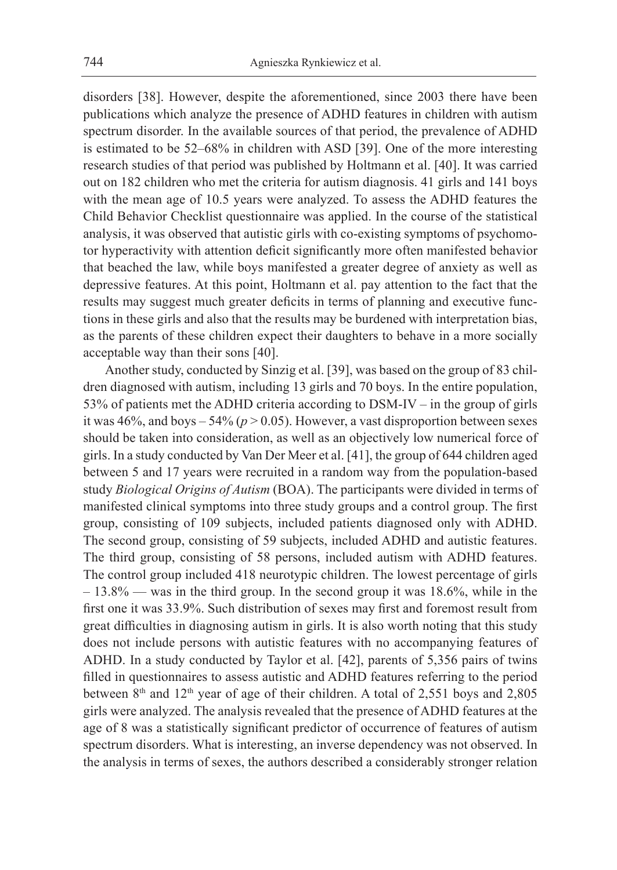disorders [38]. However, despite the aforementioned, since 2003 there have been publications which analyze the presence of ADHD features in children with autism spectrum disorder. In the available sources of that period, the prevalence of ADHD is estimated to be 52–68% in children with ASD [39]. One of the more interesting research studies of that period was published by Holtmann et al. [40]. It was carried out on 182 children who met the criteria for autism diagnosis. 41 girls and 141 boys with the mean age of 10.5 years were analyzed. To assess the ADHD features the Child Behavior Checklist questionnaire was applied. In the course of the statistical analysis, it was observed that autistic girls with co-existing symptoms of psychomotor hyperactivity with attention deficit significantly more often manifested behavior that beached the law, while boys manifested a greater degree of anxiety as well as depressive features. At this point, Holtmann et al. pay attention to the fact that the results may suggest much greater deficits in terms of planning and executive functions in these girls and also that the results may be burdened with interpretation bias, as the parents of these children expect their daughters to behave in a more socially acceptable way than their sons [40].

Another study, conducted by Sinzig et al. [39], was based on the group of 83 children diagnosed with autism, including 13 girls and 70 boys. In the entire population, 53% of patients met the ADHD criteria according to DSM-IV – in the group of girls it was  $46\%$ , and boys  $-54\%$  ( $p > 0.05$ ). However, a vast disproportion between sexes should be taken into consideration, as well as an objectively low numerical force of girls. In a study conducted by Van Der Meer et al. [41], the group of 644 children aged between 5 and 17 years were recruited in a random way from the population-based study *Biological Origins of Autism* (BOA). The participants were divided in terms of manifested clinical symptoms into three study groups and a control group. The first group, consisting of 109 subjects, included patients diagnosed only with ADHD. The second group, consisting of 59 subjects, included ADHD and autistic features. The third group, consisting of 58 persons, included autism with ADHD features. The control group included 418 neurotypic children. The lowest percentage of girls – 13.8% — was in the third group. In the second group it was 18.6%, while in the first one it was 33.9%. Such distribution of sexes may first and foremost result from great difficulties in diagnosing autism in girls. It is also worth noting that this study does not include persons with autistic features with no accompanying features of ADHD. In a study conducted by Taylor et al. [42], parents of 5,356 pairs of twins filled in questionnaires to assess autistic and ADHD features referring to the period between 8<sup>th</sup> and 12<sup>th</sup> year of age of their children. A total of 2,551 boys and 2,805 girls were analyzed. The analysis revealed that the presence of ADHD features at the age of 8 was a statistically significant predictor of occurrence of features of autism spectrum disorders. What is interesting, an inverse dependency was not observed. In the analysis in terms of sexes, the authors described a considerably stronger relation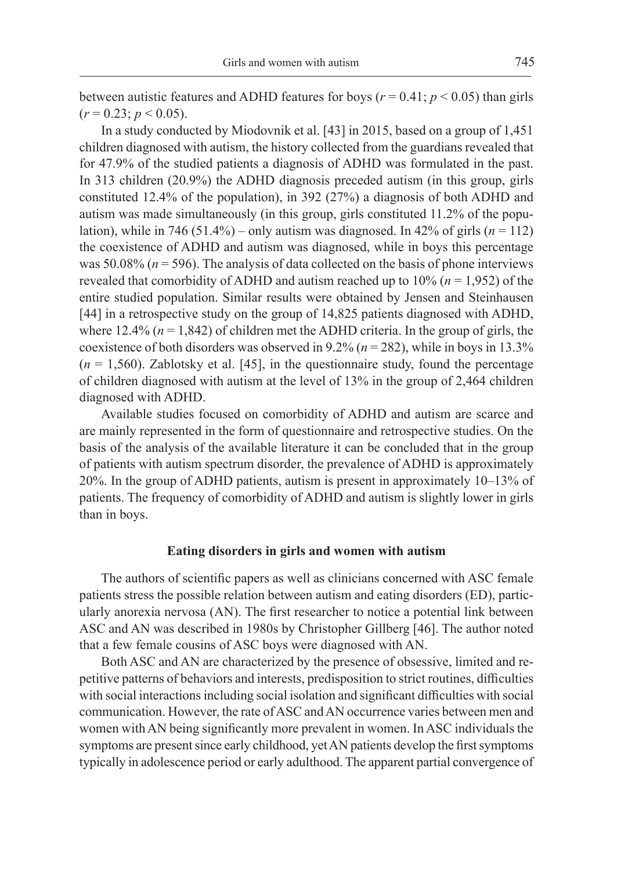between autistic features and ADHD features for boys ( $r = 0.41$ ;  $p < 0.05$ ) than girls  $(r = 0.23; p < 0.05)$ .

In a study conducted by Miodovnik et al. [43] in 2015, based on a group of 1,451 children diagnosed with autism, the history collected from the guardians revealed that for 47.9% of the studied patients a diagnosis of ADHD was formulated in the past. In 313 children (20.9%) the ADHD diagnosis preceded autism (in this group, girls constituted 12.4% of the population), in 392 (27%) a diagnosis of both ADHD and autism was made simultaneously (in this group, girls constituted 11.2% of the population), while in 746 (51.4%) – only autism was diagnosed. In 42% of girls  $(n = 112)$ the coexistence of ADHD and autism was diagnosed, while in boys this percentage was 50.08% ( $n = 596$ ). The analysis of data collected on the basis of phone interviews revealed that comorbidity of ADHD and autism reached up to  $10\%$  ( $n = 1,952$ ) of the entire studied population. Similar results were obtained by Jensen and Steinhausen [44] in a retrospective study on the group of 14,825 patients diagnosed with ADHD, where 12.4%  $(n = 1,842)$  of children met the ADHD criteria. In the group of girls, the coexistence of both disorders was observed in 9.2% (*n* = 282), while in boys in 13.3%  $(n = 1,560)$ . Zablotsky et al. [45], in the questionnaire study, found the percentage of children diagnosed with autism at the level of 13% in the group of 2,464 children diagnosed with ADHD.

Available studies focused on comorbidity of ADHD and autism are scarce and are mainly represented in the form of questionnaire and retrospective studies. On the basis of the analysis of the available literature it can be concluded that in the group of patients with autism spectrum disorder, the prevalence of ADHD is approximately 20%. In the group of ADHD patients, autism is present in approximately 10–13% of patients. The frequency of comorbidity of ADHD and autism is slightly lower in girls than in boys.

## **Eating disorders in girls and women with autism**

The authors of scientific papers as well as clinicians concerned with ASC female patients stress the possible relation between autism and eating disorders (ED), particularly anorexia nervosa (AN). The first researcher to notice a potential link between ASC and AN was described in 1980s by Christopher Gillberg [46]. The author noted that a few female cousins of ASC boys were diagnosed with AN.

Both ASC and AN are characterized by the presence of obsessive, limited and repetitive patterns of behaviors and interests, predisposition to strict routines, difficulties with social interactions including social isolation and significant difficulties with social communication. However, the rate of ASC and AN occurrence varies between men and women with AN being significantly more prevalent in women. In ASC individuals the symptoms are present since early childhood, yet AN patients develop the first symptoms typically in adolescence period or early adulthood. The apparent partial convergence of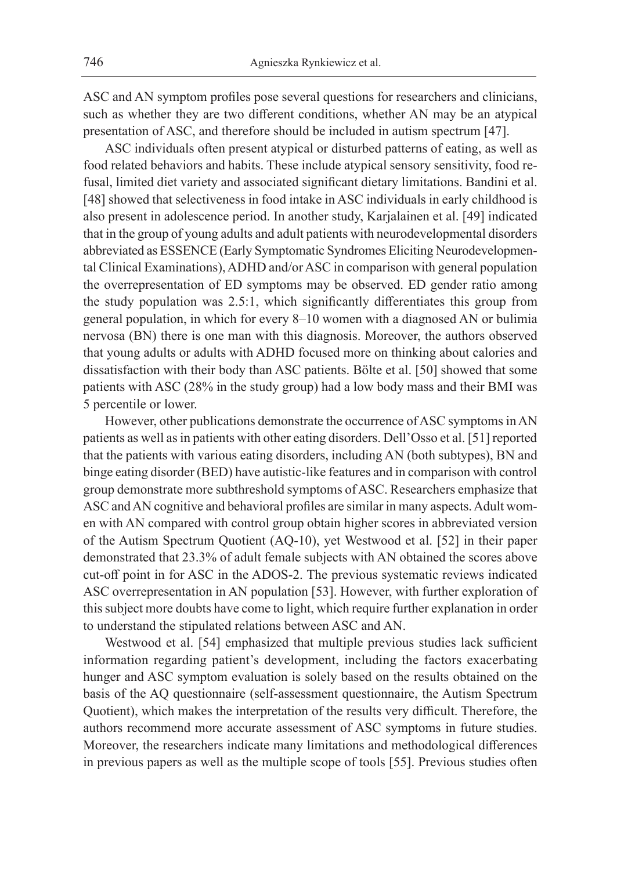ASC and AN symptom profiles pose several questions for researchers and clinicians, such as whether they are two different conditions, whether AN may be an atypical presentation of ASC, and therefore should be included in autism spectrum [47].

ASC individuals often present atypical or disturbed patterns of eating, as well as food related behaviors and habits. These include atypical sensory sensitivity, food refusal, limited diet variety and associated significant dietary limitations. Bandini et al. [48] showed that selectiveness in food intake in ASC individuals in early childhood is also present in adolescence period. In another study, Karjalainen et al. [49] indicated that in the group of young adults and adult patients with neurodevelopmental disorders abbreviated as ESSENCE (Early Symptomatic Syndromes Eliciting Neurodevelopmental Clinical Examinations), ADHD and/or ASC in comparison with general population the overrepresentation of ED symptoms may be observed. ED gender ratio among the study population was 2.5:1, which significantly differentiates this group from general population, in which for every 8–10 women with a diagnosed AN or bulimia nervosa (BN) there is one man with this diagnosis. Moreover, the authors observed that young adults or adults with ADHD focused more on thinking about calories and dissatisfaction with their body than ASC patients. Bölte et al. [50] showed that some patients with ASC (28% in the study group) had a low body mass and their BMI was 5 percentile or lower.

However, other publications demonstrate the occurrence of ASC symptoms in AN patients as well as in patients with other eating disorders. Dell'Osso et al. [51] reported that the patients with various eating disorders, including AN (both subtypes), BN and binge eating disorder (BED) have autistic-like features and in comparison with control group demonstrate more subthreshold symptoms of ASC. Researchers emphasize that ASC and AN cognitive and behavioral profiles are similar in many aspects. Adult women with AN compared with control group obtain higher scores in abbreviated version of the Autism Spectrum Quotient (AQ-10), yet Westwood et al. [52] in their paper demonstrated that 23.3% of adult female subjects with AN obtained the scores above cut-off point in for ASC in the ADOS-2. The previous systematic reviews indicated ASC overrepresentation in AN population [53]. However, with further exploration of this subject more doubts have come to light, which require further explanation in order to understand the stipulated relations between ASC and AN.

Westwood et al. [54] emphasized that multiple previous studies lack sufficient information regarding patient's development, including the factors exacerbating hunger and ASC symptom evaluation is solely based on the results obtained on the basis of the AQ questionnaire (self-assessment questionnaire, the Autism Spectrum Quotient), which makes the interpretation of the results very difficult. Therefore, the authors recommend more accurate assessment of ASC symptoms in future studies. Moreover, the researchers indicate many limitations and methodological differences in previous papers as well as the multiple scope of tools [55]. Previous studies often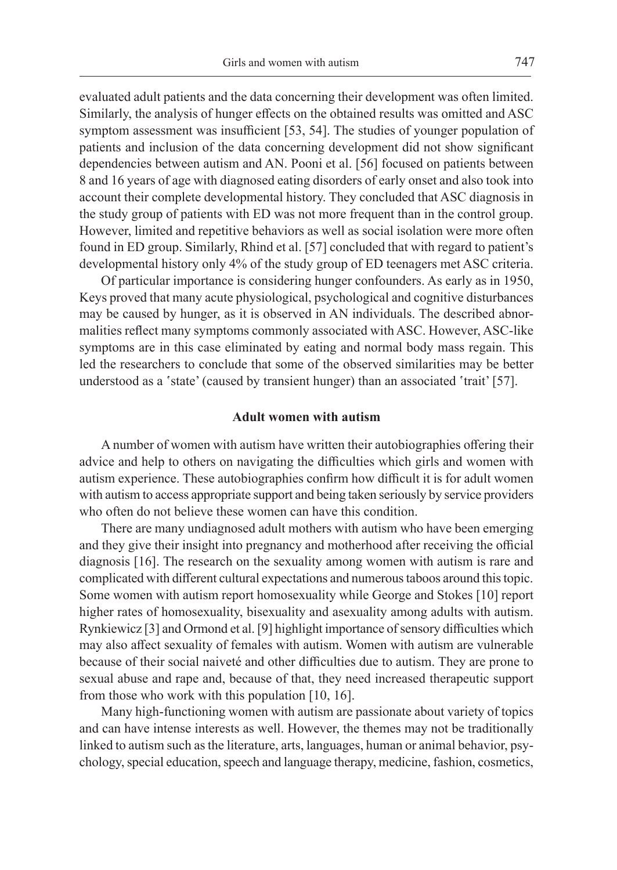evaluated adult patients and the data concerning their development was often limited. Similarly, the analysis of hunger effects on the obtained results was omitted and ASC symptom assessment was insufficient [53, 54]. The studies of younger population of patients and inclusion of the data concerning development did not show significant dependencies between autism and AN. Pooni et al. [56] focused on patients between 8 and 16 years of age with diagnosed eating disorders of early onset and also took into account their complete developmental history. They concluded that ASC diagnosis in the study group of patients with ED was not more frequent than in the control group. However, limited and repetitive behaviors as well as social isolation were more often found in ED group. Similarly, Rhind et al. [57] concluded that with regard to patient's developmental history only 4% of the study group of ED teenagers met ASC criteria.

Of particular importance is considering hunger confounders. As early as in 1950, Keys proved that many acute physiological, psychological and cognitive disturbances may be caused by hunger, as it is observed in AN individuals. The described abnormalities reflect many symptoms commonly associated with ASC. However, ASC-like symptoms are in this case eliminated by eating and normal body mass regain. This led the researchers to conclude that some of the observed similarities may be better understood as a 'state' (caused by transient hunger) than an associated 'trait' [57].

### **Adult women with autism**

A number of women with autism have written their autobiographies offering their advice and help to others on navigating the difficulties which girls and women with autism experience. These autobiographies confirm how difficult it is for adult women with autism to access appropriate support and being taken seriously by service providers who often do not believe these women can have this condition.

There are many undiagnosed adult mothers with autism who have been emerging and they give their insight into pregnancy and motherhood after receiving the official diagnosis [16]. The research on the sexuality among women with autism is rare and complicated with different cultural expectations and numerous taboos around this topic. Some women with autism report homosexuality while George and Stokes [10] report higher rates of homosexuality, bisexuality and asexuality among adults with autism. Rynkiewicz [3] and Ormond et al. [9] highlight importance of sensory difficulties which may also affect sexuality of females with autism. Women with autism are vulnerable because of their social naiveté and other difficulties due to autism. They are prone to sexual abuse and rape and, because of that, they need increased therapeutic support from those who work with this population [10, 16].

Many high-functioning women with autism are passionate about variety of topics and can have intense interests as well. However, the themes may not be traditionally linked to autism such as the literature, arts, languages, human or animal behavior, psychology, special education, speech and language therapy, medicine, fashion, cosmetics,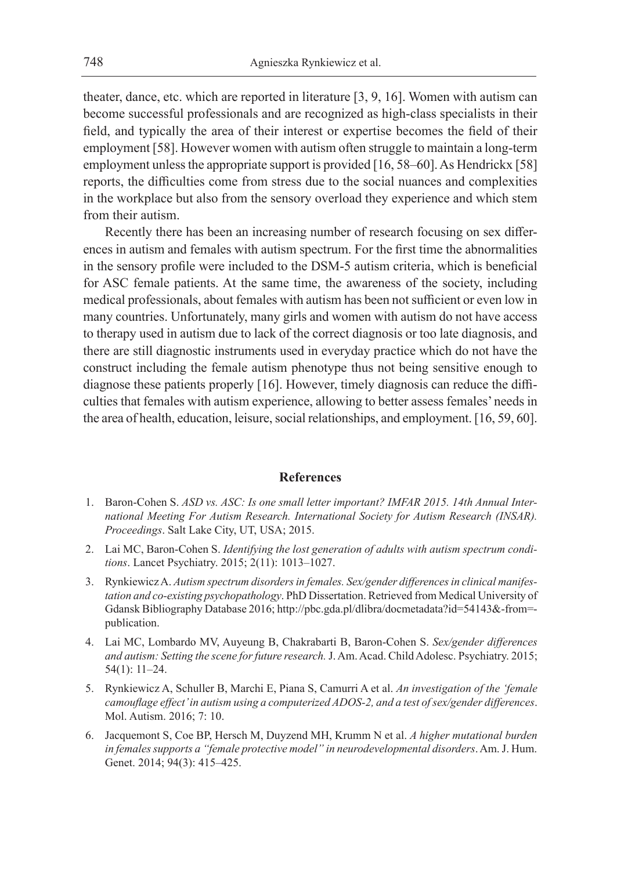theater, dance, etc. which are reported in literature [3, 9, 16]. Women with autism can become successful professionals and are recognized as high-class specialists in their field, and typically the area of their interest or expertise becomes the field of their employment [58]. However women with autism often struggle to maintain a long-term employment unless the appropriate support is provided [16, 58–60]. As Hendrickx [58] reports, the difficulties come from stress due to the social nuances and complexities in the workplace but also from the sensory overload they experience and which stem from their autism.

Recently there has been an increasing number of research focusing on sex differences in autism and females with autism spectrum. For the first time the abnormalities in the sensory profile were included to the DSM-5 autism criteria, which is beneficial for ASC female patients. At the same time, the awareness of the society, including medical professionals, about females with autism has been not sufficient or even low in many countries. Unfortunately, many girls and women with autism do not have access to therapy used in autism due to lack of the correct diagnosis or too late diagnosis, and there are still diagnostic instruments used in everyday practice which do not have the construct including the female autism phenotype thus not being sensitive enough to diagnose these patients properly [16]. However, timely diagnosis can reduce the difficulties that females with autism experience, allowing to better assess females' needs in the area of health, education, leisure, social relationships, and employment. [16, 59, 60].

# **References**

- 1. Baron-Cohen S. *ASD vs. ASC: Is one small letter important? IMFAR 2015. 14th Annual International Meeting For Autism Research. International Society for Autism Research (INSAR). Proceedings*. Salt Lake City, UT, USA; 2015.
- 2. Lai MC, Baron-Cohen S. *Identifying the lost generation of adults with autism spectrum conditions*. Lancet Psychiatry. 2015; 2(11): 1013–1027.
- 3. Rynkiewicz A. *Autism spectrum disorders in females. Sex/gender differences in clinical manifestation and co-existing psychopathology*. PhD Dissertation. Retrieved from Medical University of Gdansk Bibliography Database 2016; http://pbc.gda.pl/dlibra/docmetadata?id=54143&-from= publication.
- 4. Lai MC, Lombardo MV, Auyeung B, Chakrabarti B, Baron-Cohen S. *Sex/gender differences and autism: Setting the scene for future research.* J. Am. Acad. Child Adolesc. Psychiatry. 2015; 54(1): 11–24.
- 5. Rynkiewicz A, Schuller B, Marchi E, Piana S, Camurri A et al. *An investigation of the 'female camouflage effect' in autism using a computerized ADOS-2, and a test of sex/gender differences*. Mol. Autism. 2016; 7: 10.
- 6. Jacquemont S, Coe BP, Hersch M, Duyzend MH, Krumm N et al. *A higher mutational burden in females supports a "female protective model" in neurodevelopmental disorders*. Am. J. Hum. Genet. 2014; 94(3): 415-425.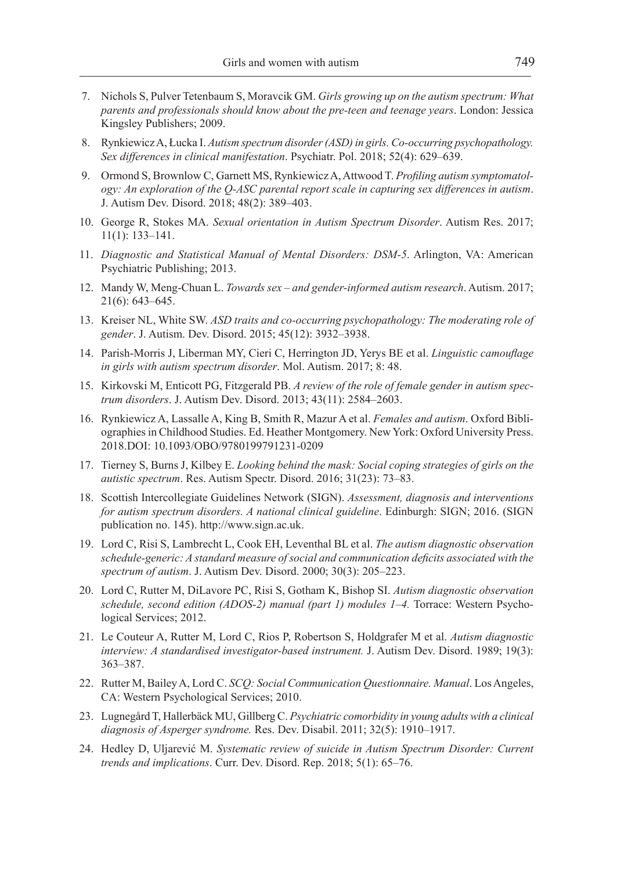- 7. Nichols S, Pulver Tetenbaum S, Moravcik GM. *Girls growing up on the autism spectrum: What parents and professionals should know about the pre-teen and teenage years*. London: Jessica Kingsley Publishers; 2009.
- 8. Rynkiewicz A, Łucka I. *Autism spectrum disorder (ASD) in girls. Co-occurring psychopathology. Sex differences in clinical manifestation*. Psychiatr. Pol. 2018; 52(4): 629–639.
- 9. Ormond S, Brownlow C, Garnett MS, Rynkiewicz A, Attwood T. *Profiling autism symptomatology: An exploration of the Q-ASC parental report scale in capturing sex differences in autism*. J. Autism Dev. Disord. 2018; 48(2): 389–403.
- 10. George R, Stokes MA. *Sexual orientation in Autism Spectrum Disorder*. Autism Res. 2017; 11(1): 133–141.
- 11. *Diagnostic and Statistical Manual of Mental Disorders: DSM-5*. Arlington, VA: American Psychiatric Publishing; 2013.
- 12. Mandy W, Meng-Chuan L. *Towards sex and gender-informed autism research*. Autism. 2017; 21(6): 643–645.
- 13. Kreiser NL, White SW. *ASD traits and co-occurring psychopathology: The moderating role of gender*. J. Autism. Dev. Disord. 2015; 45(12): 3932–3938.
- 14. Parish-Morris J, Liberman MY, Cieri C, Herrington JD, Yerys BE et al. *Linguistic camouflage in girls with autism spectrum disorder*. Mol. Autism. 2017; 8: 48.
- 15. Kirkovski M, Enticott PG, Fitzgerald PB. *A review of the role of female gender in autism spectrum disorders*. J. Autism Dev. Disord. 2013; 43(11): 2584–2603.
- 16. Rynkiewicz A, Lassalle A, King B, Smith R, Mazur A et al. *Females and autism*. Oxford Bibliographies in Childhood Studies. Ed. Heather Montgomery. New York: Oxford University Press. 2018.DOI: 10.1093/OBO/9780199791231-0209
- 17. Tierney S, Burns J, Kilbey E. *Looking behind the mask: Social coping strategies of girls on the autistic spectrum*. Res. Autism Spectr. Disord. 2016; 31(23): 73–83.
- 18. Scottish Intercollegiate Guidelines Network (SIGN). *Assessment, diagnosis and interventions for autism spectrum disorders. A national clinical guideline*. Edinburgh: SIGN; 2016. (SIGN publication no. 145). http://www.sign.ac.uk.
- 19. Lord C, Risi S, Lambrecht L, Cook EH, Leventhal BL et al. *The autism diagnostic observation schedule-generic: A standard measure of social and communication deficits associated with the spectrum of autism*. J. Autism Dev. Disord. 2000; 30(3): 205–223.
- 20. Lord C, Rutter M, DiLavore PC, Risi S, Gotham K, Bishop SI. *Autism diagnostic observation schedule, second edition (ADOS-2) manual (part 1) modules 1–4.* Torrace: Western Psychological Services; 2012.
- 21. Le Couteur A, Rutter M, Lord C, Rios P, Robertson S, Holdgrafer M et al. *Autism diagnostic interview: A standardised investigator-based instrument.* J. Autism Dev. Disord. 1989; 19(3): 363–387.
- 22. Rutter M, Bailey A, Lord C. *SCQ: Social Communication Questionnaire. Manual*. Los Angeles, CA: Western Psychological Services; 2010.
- 23. Lugnegård T, Hallerbäck MU, Gillberg C. *Psychiatric comorbidity in young adults with a clinical diagnosis of Asperger syndrome.* Res. Dev. Disabil. 2011; 32(5): 1910–1917.
- 24. Hedley D, Uljarević M. *Systematic review of suicide in Autism Spectrum Disorder: Current trends and implications*. Curr. Dev. Disord. Rep. 2018; 5(1): 65–76.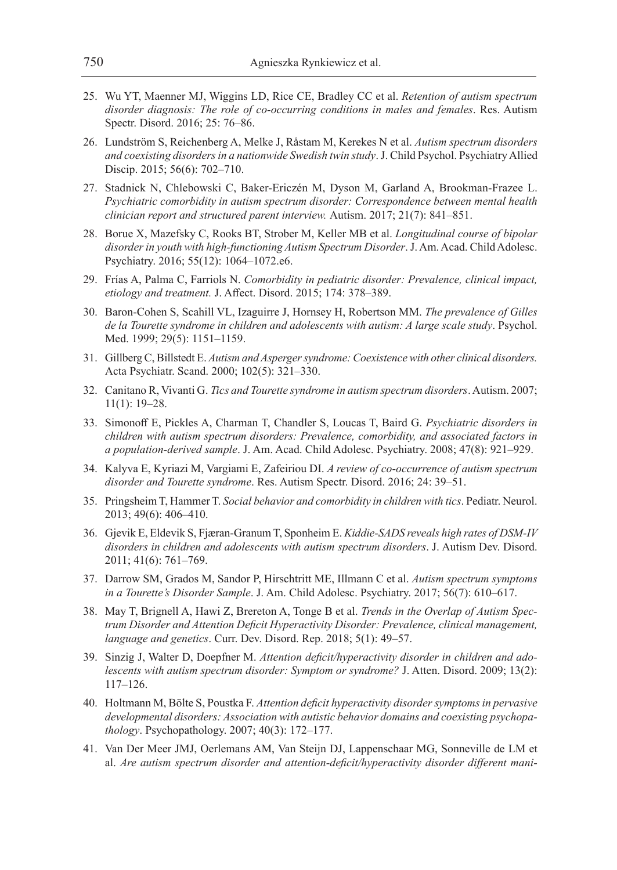- 25. Wu YT, Maenner MJ, Wiggins LD, Rice CE, Bradley CC et al. *Retention of autism spectrum disorder diagnosis: The role of co-occurring conditions in males and females*. Res. Autism Spectr. Disord. 2016; 25: 76–86.
- 26. Lundström S, Reichenberg A, Melke J, Råstam M, Kerekes N et al. *Autism spectrum disorders and coexisting disorders in a nationwide Swedish twin study*. J. Child Psychol. Psychiatry Allied Discip. 2015; 56(6): 702–710.
- 27. Stadnick N, Chlebowski C, Baker-Ericzén M, Dyson M, Garland A, Brookman-Frazee L. *Psychiatric comorbidity in autism spectrum disorder: Correspondence between mental health clinician report and structured parent interview.* Autism. 2017; 21(7): 841–851.
- 28. Borue X, Mazefsky C, Rooks BT, Strober M, Keller MB et al. *Longitudinal course of bipolar disorder in youth with high-functioning Autism Spectrum Disorder*. J. Am. Acad. Child Adolesc. Psychiatry. 2016; 55(12): 1064–1072.e6.
- 29. Frías A, Palma C, Farriols N. *Comorbidity in pediatric disorder: Prevalence, clinical impact, etiology and treatment.* J. Affect. Disord. 2015; 174: 378–389.
- 30. Baron-Cohen S, Scahill VL, Izaguirre J, Hornsey H, Robertson MM. *The prevalence of Gilles de la Tourette syndrome in children and adolescents with autism: A large scale study*. Psychol. Med. 1999; 29(5): 1151–1159.
- 31. Gillberg C, Billstedt E. *Autism and Asperger syndrome: Coexistence with other clinical disorders.*  Acta Psychiatr. Scand. 2000; 102(5): 321–330.
- 32. Canitano R, Vivanti G. *Tics and Tourette syndrome in autism spectrum disorders*. Autism. 2007; 11(1): 19–28.
- 33. Simonoff E, Pickles A, Charman T, Chandler S, Loucas T, Baird G. *Psychiatric disorders in children with autism spectrum disorders: Prevalence, comorbidity, and associated factors in a population-derived sample*. J. Am. Acad. Child Adolesc. Psychiatry. 2008; 47(8): 921–929.
- 34. Kalyva E, Kyriazi M, Vargiami E, Zafeiriou DI. *A review of co-occurrence of autism spectrum disorder and Tourette syndrome*. Res. Autism Spectr. Disord. 2016; 24: 39–51.
- 35. Pringsheim T, Hammer T. *Social behavior and comorbidity in children with tics*. Pediatr. Neurol. 2013; 49(6): 406–410.
- 36. Gjevik E, Eldevik S, Fjæran-Granum T, Sponheim E. *Kiddie-SADS reveals high rates of DSM-IV disorders in children and adolescents with autism spectrum disorders*. J. Autism Dev. Disord. 2011; 41(6): 761–769.
- 37. Darrow SM, Grados M, Sandor P, Hirschtritt ME, Illmann C et al. *Autism spectrum symptoms in a Tourette's Disorder Sample*. J. Am. Child Adolesc. Psychiatry. 2017; 56(7): 610–617.
- 38. May T, Brignell A, Hawi Z, Brereton A, Tonge B et al. *Trends in the Overlap of Autism Spectrum Disorder and Attention Deficit Hyperactivity Disorder: Prevalence, clinical management, language and genetics*. Curr. Dev. Disord. Rep. 2018; 5(1): 49–57.
- 39. Sinzig J, Walter D, Doepfner M. *Attention deficit/hyperactivity disorder in children and adolescents with autism spectrum disorder: Symptom or syndrome?* J. Atten. Disord. 2009; 13(2): 117–126.
- 40. Holtmann M, Bölte S, Poustka F. *Attention deficit hyperactivity disorder symptoms in pervasive developmental disorders: Association with autistic behavior domains and coexisting psychopathology*. Psychopathology. 2007; 40(3): 172–177.
- 41. Van Der Meer JMJ, Oerlemans AM, Van Steijn DJ, Lappenschaar MG, Sonneville de LM et al. *Are autism spectrum disorder and attention-deficit/hyperactivity disorder different mani-*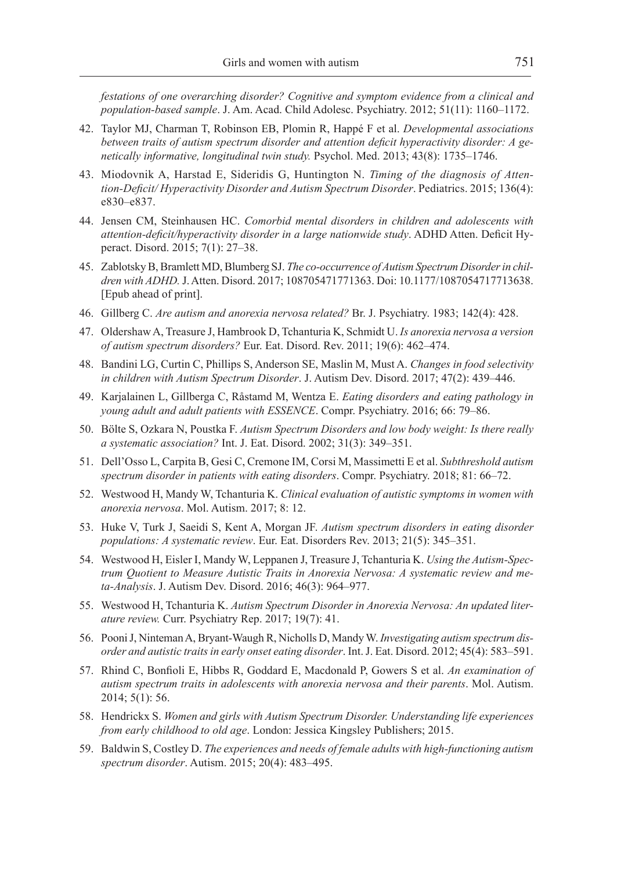*festations of one overarching disorder? Cognitive and symptom evidence from a clinical and population-based sample*. J. Am. Acad. Child Adolesc. Psychiatry. 2012; 51(11): 1160–1172.

- 42. Taylor MJ, Charman T, Robinson EB, Plomin R, Happé F et al. *Developmental associations between traits of autism spectrum disorder and attention deficit hyperactivity disorder: A genetically informative, longitudinal twin study.* Psychol. Med. 2013; 43(8): 1735–1746.
- 43. Miodovnik A, Harstad E, Sideridis G, Huntington N. *Timing of the diagnosis of Attention-Deficit/ Hyperactivity Disorder and Autism Spectrum Disorder*. Pediatrics. 2015; 136(4): e830–e837.
- 44. Jensen CM, Steinhausen HC. *Comorbid mental disorders in children and adolescents with attention-deficit/hyperactivity disorder in a large nationwide study*. ADHD Atten. Deficit Hyperact. Disord. 2015; 7(1): 27–38.
- 45. Zablotsky B, Bramlett MD, Blumberg SJ. *The co-occurrence of Autism Spectrum Disorder in children with ADHD.* J. Atten. Disord. 2017; 108705471771363. Doi: 10.1177/1087054717713638. [Epub ahead of print].
- 46. Gillberg C. *Are autism and anorexia nervosa related?* Br. J. Psychiatry. 1983; 142(4): 428.
- 47. Oldershaw A, Treasure J, Hambrook D, Tchanturia K, Schmidt U. *Is anorexia nervosa a version of autism spectrum disorders?* Eur. Eat. Disord. Rev. 2011; 19(6): 462–474.
- 48. Bandini LG, Curtin C, Phillips S, Anderson SE, Maslin M, Must A. *Changes in food selectivity in children with Autism Spectrum Disorder*. J. Autism Dev. Disord. 2017; 47(2): 439–446.
- 49. Karjalainen L, Gillberga C, Råstamd M, Wentza E. *Eating disorders and eating pathology in young adult and adult patients with ESSENCE*. Compr. Psychiatry. 2016; 66: 79–86.
- 50. Bӧlte S, Ozkara N, Poustka F. *Autism Spectrum Disorders and low body weight: Is there really a systematic association?* Int. J. Eat. Disord. 2002; 31(3): 349–351.
- 51. Dell'Osso L, Carpita B, Gesi C, Cremone IM, Corsi M, Massimetti E et al. *Subthreshold autism spectrum disorder in patients with eating disorders*. Compr. Psychiatry. 2018; 81: 66–72.
- 52. Westwood H, Mandy W, Tchanturia K. *Clinical evaluation of autistic symptoms in women with anorexia nervosa*. Mol. Autism. 2017; 8: 12.
- 53. Huke V, Turk J, Saeidi S, Kent A, Morgan JF. *Autism spectrum disorders in eating disorder populations: A systematic review*. Eur. Eat. Disorders Rev. 2013; 21(5): 345–351.
- 54. Westwood H, Eisler I, Mandy W, Leppanen J, Treasure J, Tchanturia K. *Using the Autism-Spectrum Quotient to Measure Autistic Traits in Anorexia Nervosa: A systematic review and meta-Analysis*. J. Autism Dev. Disord. 2016; 46(3): 964–977.
- 55. Westwood H, Tchanturia K. *Autism Spectrum Disorder in Anorexia Nervosa: An updated literature review.* Curr. Psychiatry Rep. 2017; 19(7): 41.
- 56. Pooni J, Ninteman A, Bryant-Waugh R, Nicholls D, Mandy W. *Investigating autism spectrum disorder and autistic traits in early onset eating disorder*. Int. J. Eat. Disord. 2012; 45(4): 583–591.
- 57. Rhind C, Bonfioli E, Hibbs R, Goddard E, Macdonald P, Gowers S et al. *An examination of autism spectrum traits in adolescents with anorexia nervosa and their parents*. Mol. Autism. 2014; 5(1): 56.
- 58. Hendrickx S. *Women and girls with Autism Spectrum Disorder. Understanding life experiences from early childhood to old age*. London: Jessica Kingsley Publishers; 2015.
- 59. Baldwin S, Costley D. *The experiences and needs of female adults with high-functioning autism spectrum disorder*. Autism. 2015; 20(4): 483–495.